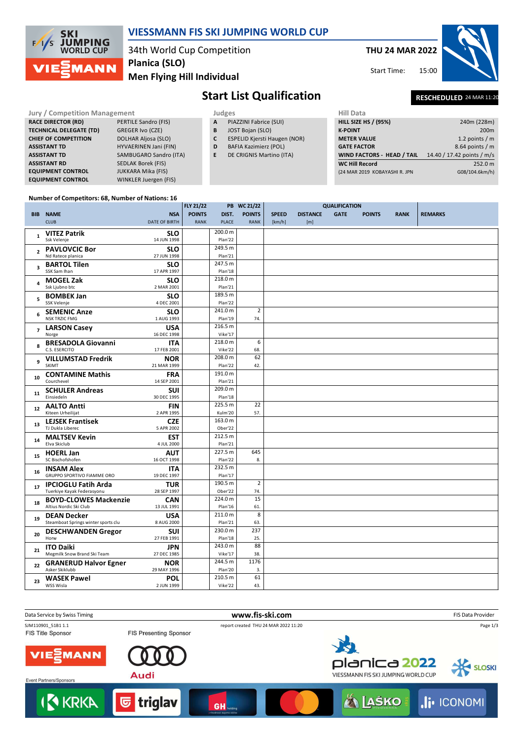



# **JUMPING MORLD CLIP**

## 34th World Cup Competition

**VIESSMANN FIS SKI JUMPING WORLD CUP**

**THU 24 MAR 2022**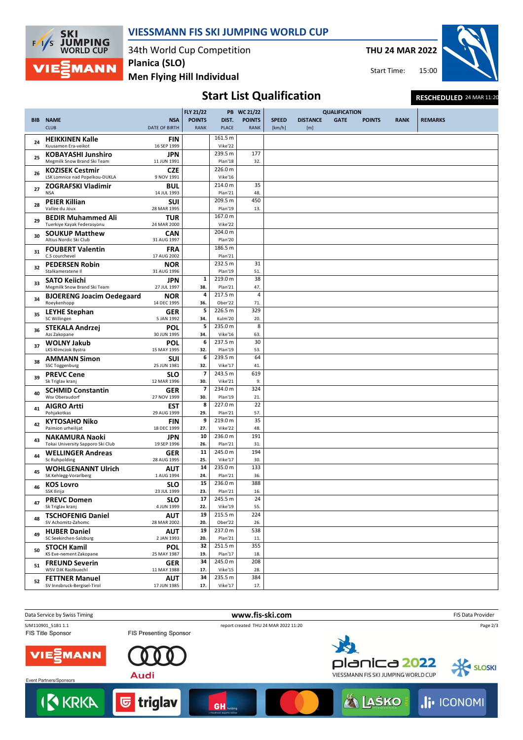![](_page_1_Picture_0.jpeg)

#### **VIESSMANN FIS SKI JUMPING WORLD CUP**

34th World Cup Competition **Planica (SLO)**

**Men Flying Hill Individual**

**THU 24 MAR 2022**

15:00 Start Time:

![](_page_1_Picture_6.jpeg)

### Start List Qualification **RESCHEDULED** 24 MAR 11:20

|            |                                                                |                             | <b>FLY 21/22</b>                |                       | PB WC 21/22                  |                        | <b>QUALIFICATION</b>   |             |               |             |                |
|------------|----------------------------------------------------------------|-----------------------------|---------------------------------|-----------------------|------------------------------|------------------------|------------------------|-------------|---------------|-------------|----------------|
| <b>BIB</b> | <b>NAME</b><br><b>CLUB</b>                                     | <b>NSA</b><br>DATE OF BIRTH | <b>POINTS</b><br><b>RANK</b>    | DIST.<br><b>PLACE</b> | <b>POINTS</b><br><b>RANK</b> | <b>SPEED</b><br>[km/h] | <b>DISTANCE</b><br>[m] | <b>GATE</b> | <b>POINTS</b> | <b>RANK</b> | <b>REMARKS</b> |
| 24         | <b>HEIKKINEN Kalle</b><br>Kuusamon Era-veikot                  | <b>FIN</b><br>16 SEP 1999   |                                 | 161.5 m<br>Vike'22    |                              |                        |                        |             |               |             |                |
| 25         | <b>KOBAYASHI Junshiro</b><br>Megmilk Snow Brand Ski Team       | <b>JPN</b><br>11 JUN 1991   |                                 | 239.5 m<br>Plan'18    | 177<br>32.                   |                        |                        |             |               |             |                |
| 26         | <b>KOZISEK Cestmir</b><br>LSK Lomnice nad Popelkou-DUKLA       | <b>CZE</b><br>9 NOV 1991    |                                 | 226.0 m<br>Vike'16    |                              |                        |                        |             |               |             |                |
| 27         | <b>ZOGRAFSKI Vladimir</b><br><b>NSA</b>                        | <b>BUL</b><br>14 JUL 1993   |                                 | 214.0 m<br>Plan'21    | 35<br>48.                    |                        |                        |             |               |             |                |
| 28         | <b>PEIER Killian</b><br>Vallee du Joux                         | <b>SUI</b><br>28 MAR 1995   |                                 | 209.5 m<br>Plan'19    | 450<br>13.                   |                        |                        |             |               |             |                |
| 29         | <b>BEDIR Muhammed Ali</b><br>Tuerkiye Kayak Federasyonu        | <b>TUR</b><br>24 MAR 2000   |                                 | 167.0 m<br>Vike'22    |                              |                        |                        |             |               |             |                |
| 30         | <b>SOUKUP Matthew</b><br>Altius Nordic Ski Club                | <b>CAN</b><br>31 AUG 1997   |                                 | 204.0 m<br>Plan'20    |                              |                        |                        |             |               |             |                |
| 31         | <b>FOUBERT Valentin</b><br>C.S courchevel                      | <b>FRA</b><br>17 AUG 2002   |                                 | 186.5 m<br>Plan'21    |                              |                        |                        |             |               |             |                |
| 32         | <b>PEDERSEN Robin</b><br>Stalkameratene II                     | <b>NOR</b><br>31 AUG 1996   |                                 | 232.5 m<br>Plan'19    | 31<br>51.                    |                        |                        |             |               |             |                |
| 33         | <b>SATO Keiichi</b><br>Megmilk Snow Brand Ski Team             | <b>JPN</b><br>27 JUL 1997   | $\mathbf{1}$<br>38.             | 219.0 m<br>Plan'21    | 38<br>47.                    |                        |                        |             |               |             |                |
| 34         | <b>BJOERENG Joacim Oedegaard</b><br>Roeykenhopp                | <b>NOR</b><br>14 DEC 1995   | 4<br>36.                        | 217.5 m<br>Ober'22    | 4<br>71.                     |                        |                        |             |               |             |                |
| 35         | <b>LEYHE Stephan</b><br>SC Willingen                           | <b>GER</b><br>5 JAN 1992    | 5<br>34.                        | 226.5 m<br>Kulm'20    | 329<br>20.                   |                        |                        |             |               |             |                |
| 36         | <b>STEKALA Andrzej</b><br>Azs Zakopane                         | POL<br>30 JUN 1995          | 5<br>34.                        | 235.0 m<br>Vike'16    | $\overline{8}$<br>63.        |                        |                        |             |               |             |                |
| 37         | <b>WOLNY Jakub</b><br>LKS Klimczok Bystra                      | POL<br>15 MAY 1995          | 6<br>32.                        | 237.5 m<br>Plan'19    | 30<br>53.                    |                        |                        |             |               |             |                |
| 38         | <b>AMMANN Simon</b>                                            | <b>SUI</b>                  | 6<br>32.                        | 239.5 m<br>Vike'17    | 64<br>41.                    |                        |                        |             |               |             |                |
| 39         | SSC Toggenburg<br><b>PREVC Cene</b>                            | 25 JUN 1981<br>SLO          | $\overline{\phantom{a}}$        | 243.5 m<br>Vike'21    | 619                          |                        |                        |             |               |             |                |
| 40         | Sk Triglav kranj<br><b>SCHMID Constantin</b><br>Wsv Oberaudorf | 12 MAR 1996<br><b>GER</b>   | 30.<br>$\overline{\phantom{a}}$ | 234.0 m               | 9.<br>324                    |                        |                        |             |               |             |                |
| 41         | <b>AIGRO Artti</b>                                             | 27 NOV 1999<br><b>EST</b>   | 30.<br>8                        | Plan'19<br>227.0 m    | 21.<br>22                    |                        |                        |             |               |             |                |
| 42         | Pohjakotkas<br><b>KYTOSAHO Niko</b><br>Paimion urheilijat      | 29 AUG 1999<br><b>FIN</b>   | 29.<br>9                        | Plan'21<br>219.0 m    | 57.<br>35                    |                        |                        |             |               |             |                |
| 43         | <b>NAKAMURA Naoki</b>                                          | 18 DEC 1999<br><b>JPN</b>   | 27.<br>10                       | Vike'22<br>236.0 m    | 48.<br>191                   |                        |                        |             |               |             |                |
| 44         | Tokai University Sapporo Ski Club<br><b>WELLINGER Andreas</b>  | 19 SEP 1996<br><b>GER</b>   | 26.<br>11                       | Plan'21<br>245.0 m    | 31.<br>194                   |                        |                        |             |               |             |                |
| 45         | Sc Ruhpolding<br><b>WOHLGENANNT Ulrich</b>                     | 28 AUG 1995<br><b>AUT</b>   | 25.<br>14                       | Vike'17<br>235.0 m    | 30.<br>133                   |                        |                        |             |               |             |                |
| 46         | SK Kehlegg-Vorarlberg<br><b>KOS Lovro</b>                      | 1 AUG 1994<br>SLO           | 24.<br>15                       | Plan'21<br>236.0 m    | 36.<br>388                   |                        |                        |             |               |             |                |
| 47         | SSK Ilirija<br><b>PREVC Domen</b>                              | 23 JUL 1999<br><b>SLO</b>   | 23.<br>17                       | Plan'21<br>245.5 m    | 16.<br>24                    |                        |                        |             |               |             |                |
| 48         | Sk Triglav kranj<br><b>TSCHOFENIG Daniel</b>                   | 4 JUN 1999<br><b>AUT</b>    | 22.<br>19                       | Vike'19<br>215.5 m    | 55.<br>224                   |                        |                        |             |               |             |                |
| 49         | SV Achomitz-Zahomc<br><b>HUBER Daniel</b>                      | 28 MAR 2002<br><b>AUT</b>   | 20.<br>19                       | Ober'22<br>237.0 m    | 26.<br>538                   |                        |                        |             |               |             |                |
| 50         | SC Seekirchen-Salzburg<br><b>STOCH Kamil</b>                   | 2 JAN 1993<br><b>POL</b>    | 20.<br>32                       | Plan'21<br>251.5 m    | 11.<br>355                   |                        |                        |             |               |             |                |
| 51         | KS Eve-nement Zakopane<br><b>FREUND Severin</b>                | 25 MAY 1987<br><b>GER</b>   | 19.<br>34                       | Plan'17<br>245.0 m    | 18.<br>208                   |                        |                        |             |               |             |                |
| 52         | WSV DJK Rastbuechl<br><b>FETTNER Manuel</b>                    | 11 MAY 1988<br><b>AUT</b>   | 17.<br>34                       | Vike'15<br>235.5 m    | 28.<br>384                   |                        |                        |             |               |             |                |
|            | SV Innsbruck-Bergisel-Tirol                                    | 17 JUN 1985                 | 17.                             | Vike'17               | 17.                          |                        |                        |             |               |             |                |

![](_page_1_Picture_9.jpeg)